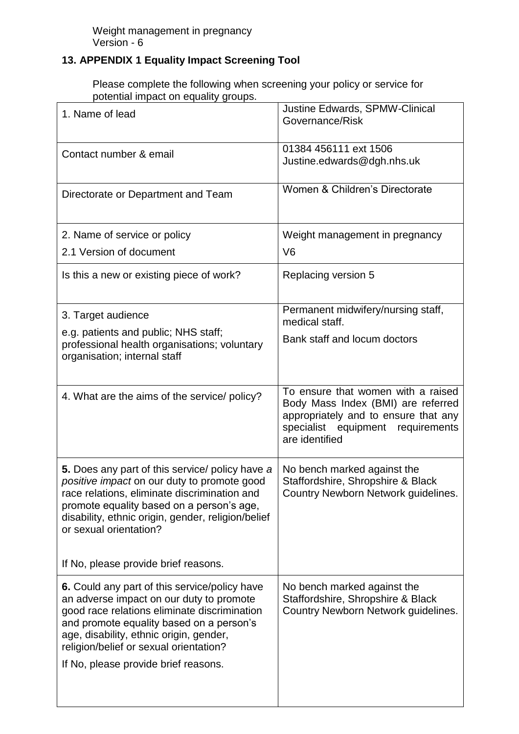## **13. APPENDIX 1 Equality Impact Screening Tool**

Please complete the following when screening your policy or service for potential impact on equality groups.

| <u>In a carrier with and carrier dis</u><br>1. Name of lead                                                                                                                                                                                                                                                        | Justine Edwards, SPMW-Clinical<br>Governance/Risk                                                                                                                       |
|--------------------------------------------------------------------------------------------------------------------------------------------------------------------------------------------------------------------------------------------------------------------------------------------------------------------|-------------------------------------------------------------------------------------------------------------------------------------------------------------------------|
| Contact number & email                                                                                                                                                                                                                                                                                             | 01384 456111 ext 1506<br>Justine.edwards@dgh.nhs.uk                                                                                                                     |
| Directorate or Department and Team                                                                                                                                                                                                                                                                                 | Women & Children's Directorate                                                                                                                                          |
| 2. Name of service or policy                                                                                                                                                                                                                                                                                       | Weight management in pregnancy                                                                                                                                          |
| 2.1 Version of document                                                                                                                                                                                                                                                                                            | V <sub>6</sub>                                                                                                                                                          |
| Is this a new or existing piece of work?                                                                                                                                                                                                                                                                           | Replacing version 5                                                                                                                                                     |
| 3. Target audience                                                                                                                                                                                                                                                                                                 | Permanent midwifery/nursing staff,<br>medical staff.                                                                                                                    |
| e.g. patients and public; NHS staff;<br>professional health organisations; voluntary<br>organisation; internal staff                                                                                                                                                                                               | Bank staff and locum doctors                                                                                                                                            |
| 4. What are the aims of the service/ policy?                                                                                                                                                                                                                                                                       | To ensure that women with a raised<br>Body Mass Index (BMI) are referred<br>appropriately and to ensure that any<br>specialist equipment requirements<br>are identified |
| 5. Does any part of this service/ policy have a<br>positive impact on our duty to promote good<br>race relations, eliminate discrimination and<br>promote equality based on a person's age,<br>disability, ethnic origin, gender, religion/belief<br>or sexual orientation?                                        | No bench marked against the<br>Staffordshire, Shropshire & Black<br>Country Newborn Network guidelines.                                                                 |
| If No, please provide brief reasons.                                                                                                                                                                                                                                                                               |                                                                                                                                                                         |
| 6. Could any part of this service/policy have<br>an adverse impact on our duty to promote<br>good race relations eliminate discrimination<br>and promote equality based on a person's<br>age, disability, ethnic origin, gender,<br>religion/belief or sexual orientation?<br>If No, please provide brief reasons. | No bench marked against the<br>Staffordshire, Shropshire & Black<br>Country Newborn Network guidelines.                                                                 |